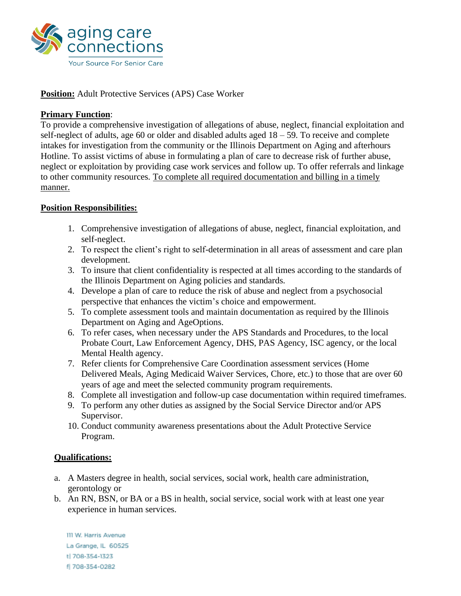

## **Position:** Adult Protective Services (APS) Case Worker

## **Primary Function**:

To provide a comprehensive investigation of allegations of abuse, neglect, financial exploitation and self-neglect of adults, age 60 or older and disabled adults aged  $18 - 59$ . To receive and complete intakes for investigation from the community or the Illinois Department on Aging and afterhours Hotline. To assist victims of abuse in formulating a plan of care to decrease risk of further abuse, neglect or exploitation by providing case work services and follow up. To offer referrals and linkage to other community resources. To complete all required documentation and billing in a timely manner.

## **Position Responsibilities:**

- 1. Comprehensive investigation of allegations of abuse, neglect, financial exploitation, and self-neglect.
- 2. To respect the client's right to self-determination in all areas of assessment and care plan development.
- 3. To insure that client confidentiality is respected at all times according to the standards of the Illinois Department on Aging policies and standards.
- 4. Develope a plan of care to reduce the risk of abuse and neglect from a psychosocial perspective that enhances the victim's choice and empowerment.
- 5. To complete assessment tools and maintain documentation as required by the Illinois Department on Aging and AgeOptions.
- 6. To refer cases, when necessary under the APS Standards and Procedures, to the local Probate Court, Law Enforcement Agency, DHS, PAS Agency, ISC agency, or the local Mental Health agency.
- 7. Refer clients for Comprehensive Care Coordination assessment services (Home Delivered Meals, Aging Medicaid Waiver Services, Chore, etc.) to those that are over 60 years of age and meet the selected community program requirements.
- 8. Complete all investigation and follow-up case documentation within required timeframes.
- 9. To perform any other duties as assigned by the Social Service Director and/or APS Supervisor.
- 10. Conduct community awareness presentations about the Adult Protective Service Program.

## **Qualifications:**

- a. A Masters degree in health, social services, social work, health care administration, gerontology or
- b. An RN, BSN, or BA or a BS in health, social service, social work with at least one year experience in human services.

III W. Harris Avenue La Grange, IL 60525 t| 708-354-1323 f 708-354-0282